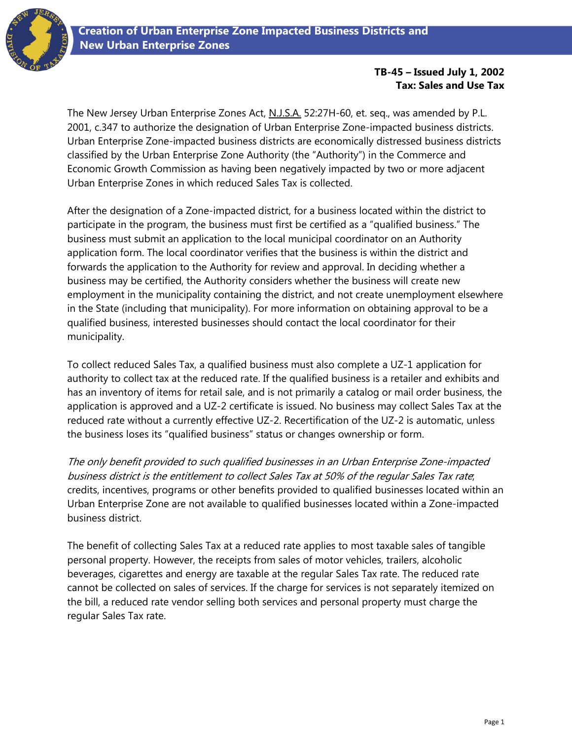

## **TB-45 – Issued July 1, 2002 Tax: Sales and Use Tax**

The New Jersey Urban Enterprise Zones Act, N.J.S.A. 52:27H-60, et. seq., was amended by P.L. 2001, c.347 to authorize the designation of Urban Enterprise Zone-impacted business districts. Urban Enterprise Zone-impacted business districts are economically distressed business districts classified by the Urban Enterprise Zone Authority (the "Authority") in the Commerce and Economic Growth Commission as having been negatively impacted by two or more adjacent Urban Enterprise Zones in which reduced Sales Tax is collected.

After the designation of a Zone-impacted district, for a business located within the district to participate in the program, the business must first be certified as a "qualified business." The business must submit an application to the local municipal coordinator on an Authority application form. The local coordinator verifies that the business is within the district and forwards the application to the Authority for review and approval. In deciding whether a business may be certified, the Authority considers whether the business will create new employment in the municipality containing the district, and not create unemployment elsewhere in the State (including that municipality). For more information on obtaining approval to be a qualified business, interested businesses should contact the local coordinator for their municipality.

To collect reduced Sales Tax, a qualified business must also complete a UZ-1 application for authority to collect tax at the reduced rate. If the qualified business is a retailer and exhibits and has an inventory of items for retail sale, and is not primarily a catalog or mail order business, the application is approved and a UZ-2 certificate is issued. No business may collect Sales Tax at the reduced rate without a currently effective UZ-2. Recertification of the UZ-2 is automatic, unless the business loses its "qualified business" status or changes ownership or form.

The only benefit provided to such qualified businesses in an Urban Enterprise Zone-impacted business district is the entitlement to collect Sales Tax at 50% of the regular Sales Tax rate; credits, incentives, programs or other benefits provided to qualified businesses located within an Urban Enterprise Zone are not available to qualified businesses located within a Zone-impacted business district.

The benefit of collecting Sales Tax at a reduced rate applies to most taxable sales of tangible personal property. However, the receipts from sales of motor vehicles, trailers, alcoholic beverages, cigarettes and energy are taxable at the regular Sales Tax rate. The reduced rate cannot be collected on sales of services. If the charge for services is not separately itemized on the bill, a reduced rate vendor selling both services and personal property must charge the regular Sales Tax rate.